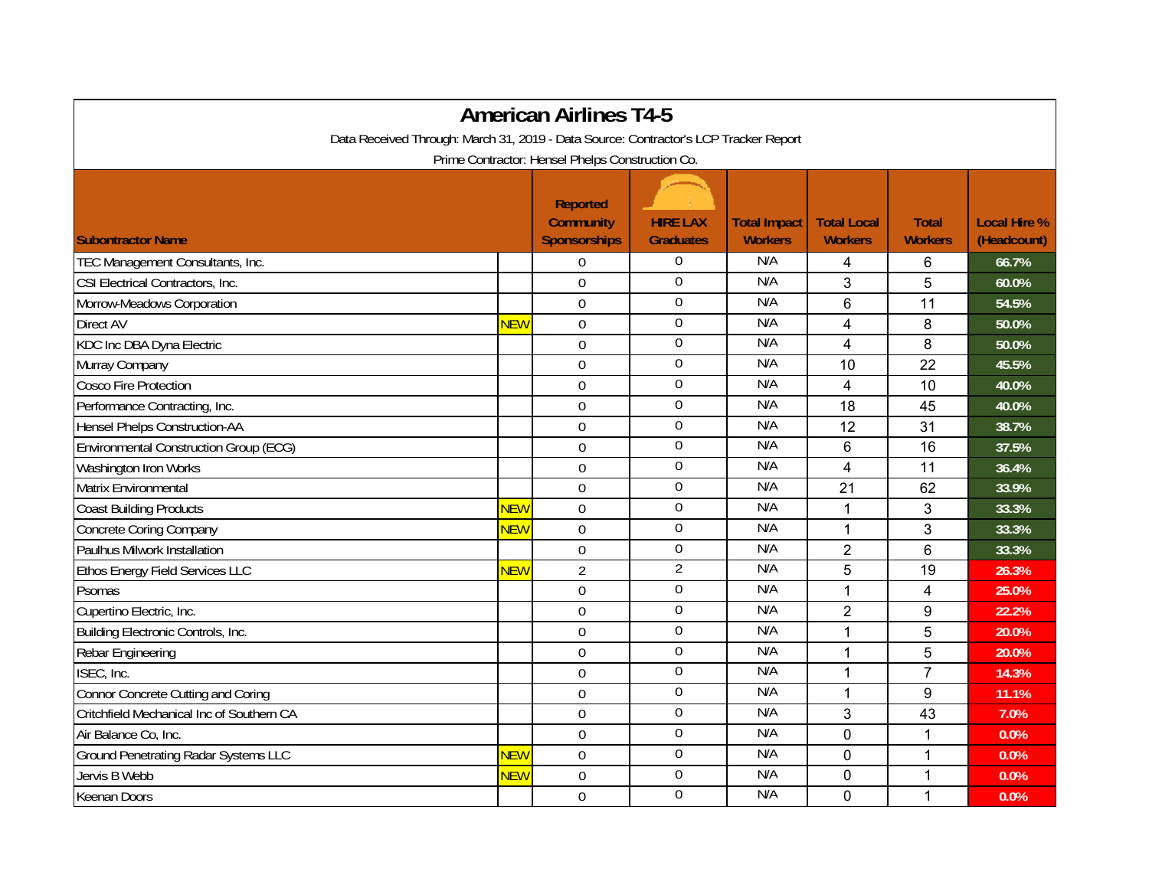| <b>American Airlines T4-5</b>                                                        |            |                                                            |                                     |                                       |                                      |                                |                                    |  |  |  |  |  |
|--------------------------------------------------------------------------------------|------------|------------------------------------------------------------|-------------------------------------|---------------------------------------|--------------------------------------|--------------------------------|------------------------------------|--|--|--|--|--|
| Data Received Through: March 31, 2019 - Data Source: Contractor's LCP Tracker Report |            |                                                            |                                     |                                       |                                      |                                |                                    |  |  |  |  |  |
| Prime Contractor: Hensel Phelps Construction Co.                                     |            |                                                            |                                     |                                       |                                      |                                |                                    |  |  |  |  |  |
| <b>Subontractor Name</b>                                                             |            | <b>Reported</b><br><b>Community</b><br><b>Sponsorships</b> | <b>HIRE LAX</b><br><b>Graduates</b> | <b>Total Impact</b><br><b>Workers</b> | <b>Total Local</b><br><b>Workers</b> | <b>Total</b><br><b>Workers</b> | <b>Local Hire %</b><br>(Headcount) |  |  |  |  |  |
| TEC Management Consultants, Inc.                                                     |            | $\theta$                                                   | $\Omega$                            | N/A                                   | 4                                    | 6                              | 66.7%                              |  |  |  |  |  |
| CSI Electrical Contractors, Inc.                                                     |            | $\mathbf 0$                                                | $\mathbf 0$                         | N/A                                   | 3                                    | 5                              | 60.0%                              |  |  |  |  |  |
| Morrow-Meadows Corporation                                                           |            | $\mathbf{0}$                                               | $\mathbf 0$                         | N/A                                   | 6                                    | 11                             | 54.5%                              |  |  |  |  |  |
| Direct AV                                                                            | <b>NEW</b> | $\mathbf{0}$                                               | $\overline{0}$                      | N/A                                   | 4                                    | 8                              | 50.0%                              |  |  |  |  |  |
| KDC Inc DBA Dyna Electric                                                            |            | $\mathbf 0$                                                | $\mathbf 0$                         | N/A                                   | 4                                    | 8                              | 50.0%                              |  |  |  |  |  |
| Murray Company                                                                       |            | $\mathbf 0$                                                | $\boldsymbol{0}$                    | N/A                                   | 10                                   | 22                             | 45.5%                              |  |  |  |  |  |
| <b>Cosco Fire Protection</b>                                                         |            | $\mathbf 0$                                                | $\boldsymbol{0}$                    | N/A                                   | 4                                    | 10                             | 40.0%                              |  |  |  |  |  |
| Performance Contracting, Inc.                                                        |            | $\mathbf{0}$                                               | $\overline{0}$                      | N/A                                   | 18                                   | 45                             | 40.0%                              |  |  |  |  |  |
| Hensel Phelps Construction-AA                                                        |            | $\mathbf 0$                                                | $\mathbf 0$                         | N/A                                   | 12                                   | 31                             | 38.7%                              |  |  |  |  |  |
| <b>Environmental Construction Group (ECG)</b>                                        |            | $\mathbf{0}$                                               | $\mathbf 0$                         | N/A                                   | 6                                    | 16                             | 37.5%                              |  |  |  |  |  |
| Washington Iron Works                                                                |            | $\mathbf{0}$                                               | $\mathbf 0$                         | N/A                                   | 4                                    | 11                             | 36.4%                              |  |  |  |  |  |
| Matrix Environmental                                                                 |            | $\mathbf 0$                                                | $\overline{0}$                      | N/A                                   | 21                                   | 62                             | 33.9%                              |  |  |  |  |  |
| <b>Coast Building Products</b>                                                       | <b>NEW</b> | $\mathbf 0$                                                | $\mathbf 0$                         | N/A                                   | 1                                    | 3                              | 33.3%                              |  |  |  |  |  |
| <b>Concrete Coring Company</b>                                                       | <b>NEW</b> | $\mathbf 0$                                                | $\mathbf 0$                         | N/A                                   | 1                                    | 3                              | 33.3%                              |  |  |  |  |  |
| Paulhus Milwork Installation                                                         |            | $\mathbf 0$                                                | $\mathbf 0$                         | N/A                                   | $\overline{2}$                       | 6                              | 33.3%                              |  |  |  |  |  |
| <b>Ethos Energy Field Services LLC</b>                                               | <b>NEW</b> | $\overline{2}$                                             | $\overline{2}$                      | N/A                                   | 5                                    | 19                             | 26.3%                              |  |  |  |  |  |
| Psomas                                                                               |            | $\mathbf 0$                                                | $\Omega$                            | N/A                                   | 1                                    | 4                              | 25.0%                              |  |  |  |  |  |
| Cupertino Electric, Inc.                                                             |            | $\mathbf 0$                                                | $\boldsymbol{0}$                    | N/A                                   | $\overline{2}$                       | 9                              | 22.2%                              |  |  |  |  |  |
| Building Electronic Controls, Inc.                                                   |            | $\mathbf 0$                                                | $\boldsymbol{0}$                    | N/A                                   | 1                                    | 5                              | 20.0%                              |  |  |  |  |  |
| Rebar Engineering                                                                    |            | $\mathbf 0$                                                | $\overline{0}$                      | N/A                                   | 1                                    | 5                              | 20.0%                              |  |  |  |  |  |
| ISEC, Inc.                                                                           |            | $\mathbf 0$                                                | $\mathbf 0$                         | N/A                                   | 1                                    | $\overline{7}$                 | 14.3%                              |  |  |  |  |  |
| Connor Concrete Cutting and Coring                                                   |            | $\mathbf 0$                                                | $\mathbf 0$                         | N/A                                   | 1                                    | 9                              | 11.1%                              |  |  |  |  |  |
| Critchfield Mechanical Inc of Southern CA                                            |            | $\mathbf{0}$                                               | $\mathbf 0$                         | N/A                                   | 3                                    | 43                             | 7.0%                               |  |  |  |  |  |
| Air Balance Co, Inc.                                                                 |            | $\mathbf 0$                                                | $\overline{0}$                      | N/A                                   | 0                                    | $\mathbf{1}$                   | 0.0%                               |  |  |  |  |  |
| <b>Ground Penetrating Radar Systems LLC</b>                                          | <b>NEW</b> | $\mathbf 0$                                                | $\mathbf 0$                         | N/A                                   | $\mathbf 0$                          | 1                              | 0.0%                               |  |  |  |  |  |
| Jervis B Webb                                                                        | <b>NEW</b> | $\mathbf 0$                                                | $\boldsymbol{0}$                    | N/A                                   | 0                                    |                                | 0.0%                               |  |  |  |  |  |
| Keenan Doors                                                                         |            | $\overline{0}$                                             | $\Omega$                            | N/A                                   | 0                                    | 1                              | 0.0%                               |  |  |  |  |  |